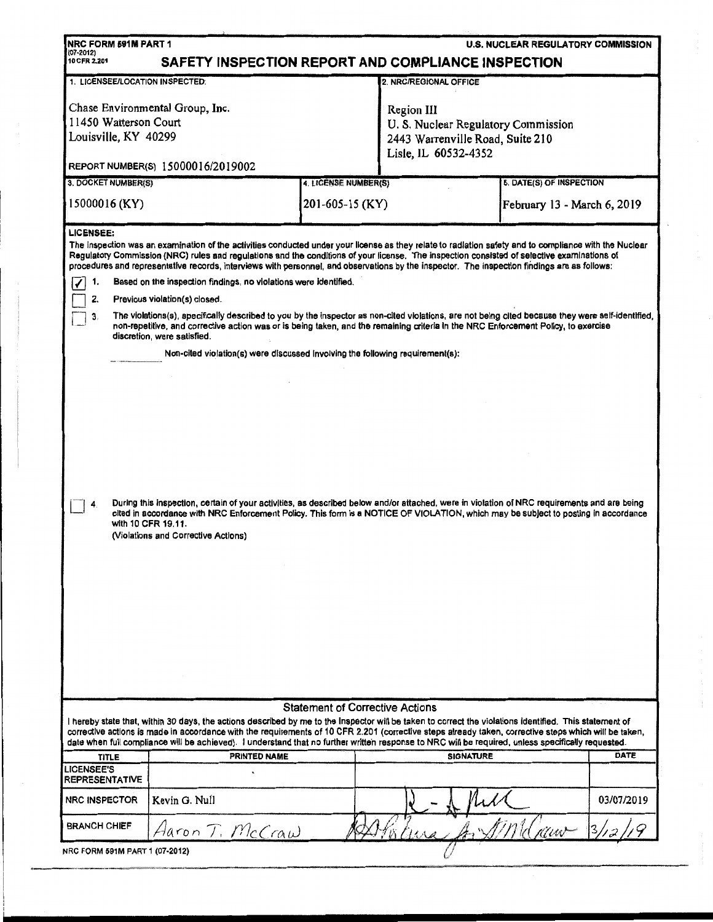| NRC FORM 591M PART 1<br><b>U.S. NUCLEAR REGULATORY COMMISSION</b><br>(07-2012)<br>10 CFR 2.201<br>SAFETY INSPECTION REPORT AND COMPLIANCE INSPECTION                                                                                                                                                                                                                                                                                                                      |                                                                                                                                                    |                                         |                                                                                                               |                                                         |            |  |  |  |
|---------------------------------------------------------------------------------------------------------------------------------------------------------------------------------------------------------------------------------------------------------------------------------------------------------------------------------------------------------------------------------------------------------------------------------------------------------------------------|----------------------------------------------------------------------------------------------------------------------------------------------------|-----------------------------------------|---------------------------------------------------------------------------------------------------------------|---------------------------------------------------------|------------|--|--|--|
| 1. LICENSEE/LOCATION INSPECTED:<br>2. NRC/REGIONAL OFFICE                                                                                                                                                                                                                                                                                                                                                                                                                 |                                                                                                                                                    |                                         |                                                                                                               |                                                         |            |  |  |  |
| 11450 Watterson Court<br>Louisville, KY 40299                                                                                                                                                                                                                                                                                                                                                                                                                             | Chase Environmental Group, Inc.                                                                                                                    |                                         | Region III<br>U. S. Nuclear Regulatory Commission<br>2443 Warrenville Road, Suite 210<br>Lisle, IL 60532-4352 |                                                         |            |  |  |  |
|                                                                                                                                                                                                                                                                                                                                                                                                                                                                           | REPORT NUMBER(S) 15000016/2019002                                                                                                                  |                                         |                                                                                                               |                                                         |            |  |  |  |
| 3. DOCKET NUMBER(S)<br>15000016 (KY)                                                                                                                                                                                                                                                                                                                                                                                                                                      |                                                                                                                                                    | 4. LICENSE NUMBER(S)<br>201-605-15 (KY) |                                                                                                               | 5. DATE(S) OF INSPECTION<br>February 13 - March 6, 2019 |            |  |  |  |
| <b>LICENSEE:</b><br>The inspection was an examination of the activities conducted under your license as they relate to radiation safety and to compliance with the Nuclear<br>Regulatory Commission (NRC) rules and regulations and the conditions of your license. The inspection consisted of selective examinations of<br>procedures and representative records, interviews with personnel, and observations by the inspector. The inspection findings are as follows: |                                                                                                                                                    |                                         |                                                                                                               |                                                         |            |  |  |  |
|                                                                                                                                                                                                                                                                                                                                                                                                                                                                           | Based on the inspection findings, no violations were identified.<br>1.                                                                             |                                         |                                                                                                               |                                                         |            |  |  |  |
| 2.<br>Previous violation(s) closed.<br>The violations(s), specifically described to you by the inspector as non-cited violations, are not being cited because they were self-identified,<br>3.<br>non-repetitive, and corrective action was or is being taken, and the remaining criteria in the NRC Enforcement Policy, to exercise<br>discretion, were satisfied.                                                                                                       |                                                                                                                                                    |                                         |                                                                                                               |                                                         |            |  |  |  |
|                                                                                                                                                                                                                                                                                                                                                                                                                                                                           | Non-cited violation(s) were discussed involving the following requirement(s):                                                                      |                                         |                                                                                                               |                                                         |            |  |  |  |
| During this inspection, certain of your activities, as described below and/or attached, were in violation of NRC requirements and are being<br>cited in accordance with NRC Enforcement Policy. This form is a NOTICE OF VIOLATION, which may be subject to posting in accordance<br>with 10 CFR 19.11.<br>(Violations and Corrective Actions)                                                                                                                            |                                                                                                                                                    |                                         |                                                                                                               |                                                         |            |  |  |  |
| <b>Statement of Corrective Actions</b><br>l hereby state that, within 30 days, the actions described by me to the Inspector will be taken to correct the violations identified. This statement of<br>corrective actions is made in accordance with the requirements of 10 CFR 2.201 (corrective steps already taken, corrective steps which will be taken,                                                                                                                |                                                                                                                                                    |                                         |                                                                                                               |                                                         |            |  |  |  |
|                                                                                                                                                                                                                                                                                                                                                                                                                                                                           | date when full compliance will be achieved). I understand that no further written response to NRC will be required, unless specifically requested. |                                         |                                                                                                               |                                                         |            |  |  |  |
| TITLE<br><b>LICENSEE'S</b>                                                                                                                                                                                                                                                                                                                                                                                                                                                | PRINTED NAME                                                                                                                                       |                                         | <b>SIGNATURE</b>                                                                                              |                                                         | DATE       |  |  |  |
| <b>REPRESENTATIVE</b>                                                                                                                                                                                                                                                                                                                                                                                                                                                     |                                                                                                                                                    |                                         |                                                                                                               |                                                         |            |  |  |  |
| <b>NRC INSPECTOR</b>                                                                                                                                                                                                                                                                                                                                                                                                                                                      | Kevin G. Null                                                                                                                                      |                                         |                                                                                                               |                                                         | 03/07/2019 |  |  |  |
| <b>BRANCH CHIEF</b>                                                                                                                                                                                                                                                                                                                                                                                                                                                       | Aaron T. McCraw                                                                                                                                    |                                         |                                                                                                               | Mw-                                                     |            |  |  |  |
| NRC FORM 591M PART 1 (07-2012)                                                                                                                                                                                                                                                                                                                                                                                                                                            |                                                                                                                                                    |                                         |                                                                                                               |                                                         |            |  |  |  |